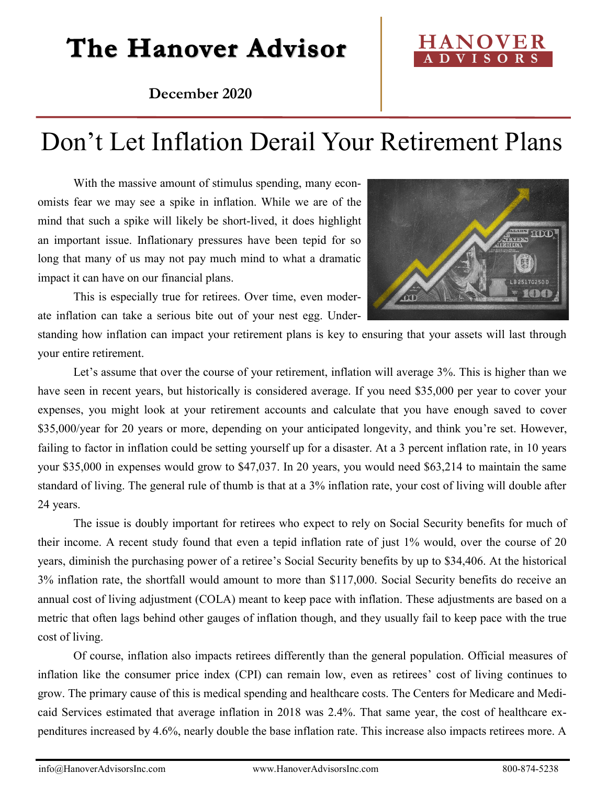# The Hanover Advisor

### **HANOVER A D V I S O R S**

**December 2020**

## Don't Let Inflation Derail Your Retirement Plans

With the massive amount of stimulus spending, many economists fear we may see a spike in inflation. While we are of the mind that such a spike will likely be short-lived, it does highlight an important issue. Inflationary pressures have been tepid for so long that many of us may not pay much mind to what a dramatic impact it can have on our financial plans.

This is especially true for retirees. Over time, even moderate inflation can take a serious bite out of your nest egg. Under-



standing how inflation can impact your retirement plans is key to ensuring that your assets will last through your entire retirement.

Let's assume that over the course of your retirement, inflation will average 3%. This is higher than we have seen in recent years, but historically is considered average. If you need \$35,000 per year to cover your expenses, you might look at your retirement accounts and calculate that you have enough saved to cover \$35,000/year for 20 years or more, depending on your anticipated longevity, and think you're set. However, failing to factor in inflation could be setting yourself up for a disaster. At a 3 percent inflation rate, in 10 years your \$35,000 in expenses would grow to \$47,037. In 20 years, you would need \$63,214 to maintain the same standard of living. The general rule of thumb is that at a 3% inflation rate, your cost of living will double after 24 years.

The issue is doubly important for retirees who expect to rely on Social Security benefits for much of their income. A recent study found that even a tepid inflation rate of just 1% would, over the course of 20 years, diminish the purchasing power of a retiree's Social Security benefits by up to \$34,406. At the historical 3% inflation rate, the shortfall would amount to more than \$117,000. Social Security benefits do receive an annual cost of living adjustment (COLA) meant to keep pace with inflation. These adjustments are based on a metric that often lags behind other gauges of inflation though, and they usually fail to keep pace with the true cost of living.

Of course, inflation also impacts retirees differently than the general population. Official measures of inflation like the consumer price index (CPI) can remain low, even as retirees' cost of living continues to grow. The primary cause of this is medical spending and healthcare costs. The Centers for Medicare and Medicaid Services estimated that average inflation in 2018 was 2.4%. That same year, the cost of healthcare expenditures increased by 4.6%, nearly double the base inflation rate. This increase also impacts retirees more. A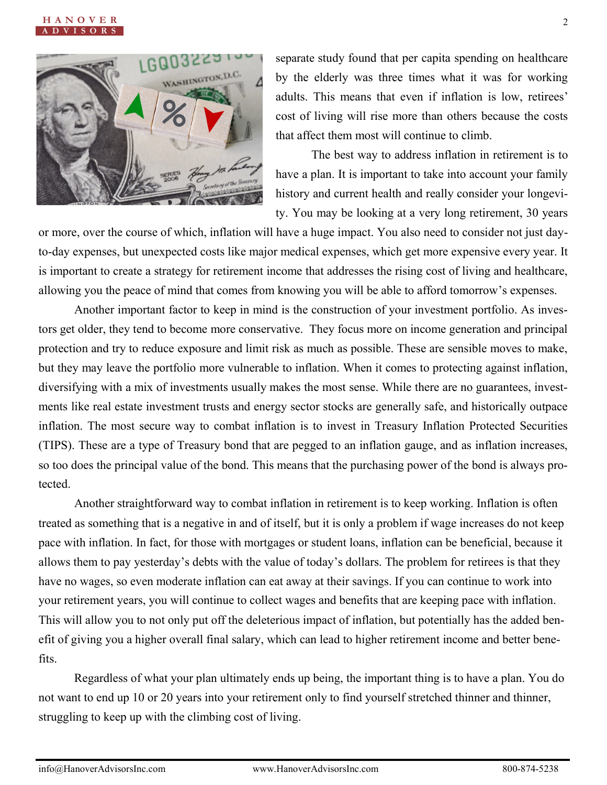



separate study found that per capita spending on healthcare by the elderly was three times what it was for working adults. This means that even if inflation is low, retirees' cost of living will rise more than others because the costs that affect them most will continue to climb.

The best way to address inflation in retirement is to have a plan. It is important to take into account your family history and current health and really consider your longevity. You may be looking at a very long retirement, 30 years

or more, over the course of which, inflation will have a huge impact. You also need to consider not just dayto-day expenses, but unexpected costs like major medical expenses, which get more expensive every year. It is important to create a strategy for retirement income that addresses the rising cost of living and healthcare, allowing you the peace of mind that comes from knowing you will be able to afford tomorrow's expenses.

Another important factor to keep in mind is the construction of your investment portfolio. As investors get older, they tend to become more conservative. They focus more on income generation and principal protection and try to reduce exposure and limit risk as much as possible. These are sensible moves to make, but they may leave the portfolio more vulnerable to inflation. When it comes to protecting against inflation, diversifying with a mix of investments usually makes the most sense. While there are no guarantees, investments like real estate investment trusts and energy sector stocks are generally safe, and historically outpace inflation. The most secure way to combat inflation is to invest in Treasury Inflation Protected Securities (TIPS). These are a type of Treasury bond that are pegged to an inflation gauge, and as inflation increases, so too does the principal value of the bond. This means that the purchasing power of the bond is always protected.

Another straightforward way to combat inflation in retirement is to keep working. Inflation is often treated as something that is a negative in and of itself, but it is only a problem if wage increases do not keep pace with inflation. In fact, for those with mortgages or student loans, inflation can be beneficial, because it allows them to pay yesterday's debts with the value of today's dollars. The problem for retirees is that they have no wages, so even moderate inflation can eat away at their savings. If you can continue to work into your retirement years, you will continue to collect wages and benefits that are keeping pace with inflation. This will allow you to not only put off the deleterious impact of inflation, but potentially has the added benefit of giving you a higher overall final salary, which can lead to higher retirement income and better benefits.

Regardless of what your plan ultimately ends up being, the important thing is to have a plan. You do not want to end up 10 or 20 years into your retirement only to find yourself stretched thinner and thinner, struggling to keep up with the climbing cost of living.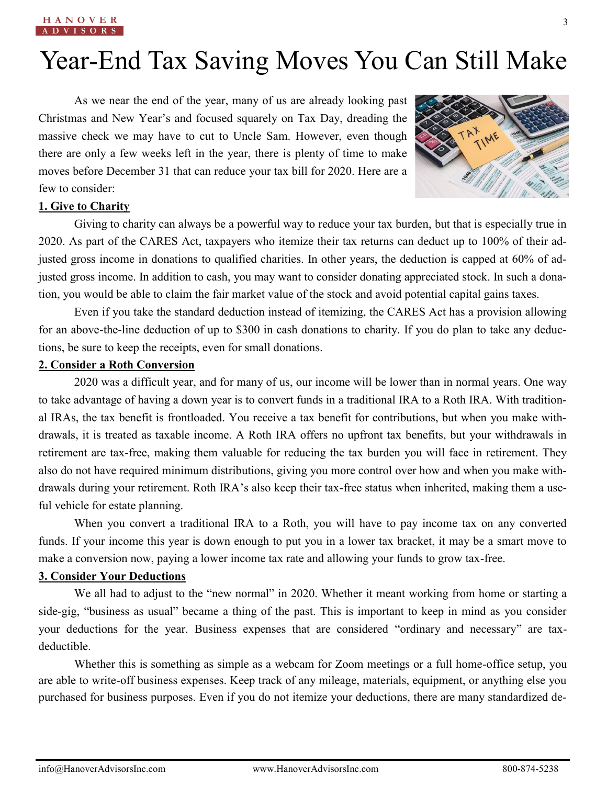# Year-End Tax Saving Moves You Can Still Make

As we near the end of the year, many of us are already looking past Christmas and New Year's and focused squarely on Tax Day, dreading the massive check we may have to cut to Uncle Sam. However, even though there are only a few weeks left in the year, there is plenty of time to make moves before December 31 that can reduce your tax bill for 2020. Here are a few to consider:



### **1. Give to Charity**

Giving to charity can always be a powerful way to reduce your tax burden, but that is especially true in 2020. As part of the CARES Act, taxpayers who itemize their tax returns can deduct up to 100% of their adjusted gross income in donations to qualified charities. In other years, the deduction is capped at 60% of adjusted gross income. In addition to cash, you may want to consider donating appreciated stock. In such a donation, you would be able to claim the fair market value of the stock and avoid potential capital gains taxes.

Even if you take the standard deduction instead of itemizing, the CARES Act has a provision allowing for an above-the-line deduction of up to \$300 in cash donations to charity. If you do plan to take any deductions, be sure to keep the receipts, even for small donations.

#### **2. Consider a Roth Conversion**

2020 was a difficult year, and for many of us, our income will be lower than in normal years. One way to take advantage of having a down year is to convert funds in a traditional IRA to a Roth IRA. With traditional IRAs, the tax benefit is frontloaded. You receive a tax benefit for contributions, but when you make withdrawals, it is treated as taxable income. A Roth IRA offers no upfront tax benefits, but your withdrawals in retirement are tax-free, making them valuable for reducing the tax burden you will face in retirement. They also do not have required minimum distributions, giving you more control over how and when you make withdrawals during your retirement. Roth IRA's also keep their tax-free status when inherited, making them a useful vehicle for estate planning.

When you convert a traditional IRA to a Roth, you will have to pay income tax on any converted funds. If your income this year is down enough to put you in a lower tax bracket, it may be a smart move to make a conversion now, paying a lower income tax rate and allowing your funds to grow tax-free.

### **3. Consider Your Deductions**

We all had to adjust to the "new normal" in 2020. Whether it meant working from home or starting a side-gig, "business as usual" became a thing of the past. This is important to keep in mind as you consider your deductions for the year. Business expenses that are considered "ordinary and necessary" are taxdeductible.

Whether this is something as simple as a webcam for Zoom meetings or a full home-office setup, you are able to write-off business expenses. Keep track of any mileage, materials, equipment, or anything else you purchased for business purposes. Even if you do not itemize your deductions, there are many standardized de-